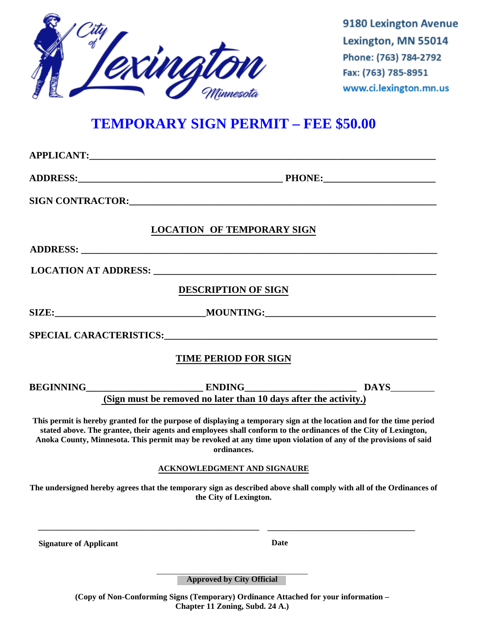

9180 Lexington Avenue Lexington, MN 55014 Phone: (763) 784-2792 Fax: (763) 785-8951 www.ci.lexington.mn.us

## **TEMPORARY SIGN PERMIT – FEE \$50.00**

|                               | SIGN CONTRACTOR: THE RESIDENCE OF STRAIGHT AND THE STRAIGHT OF STRAIGHT AND THE STRAIGHT OF STRAIGHT AND THE STRAIGHT OF STRAIGHT AND THE STRAIGHT OF STRAIGHT AND THE STRAIGHT OF STRAIGHT AND THE STRAIGHT OF STRAIGHT AND T                                                                                                                                            |
|-------------------------------|---------------------------------------------------------------------------------------------------------------------------------------------------------------------------------------------------------------------------------------------------------------------------------------------------------------------------------------------------------------------------|
|                               | <b>LOCATION OF TEMPORARY SIGN</b>                                                                                                                                                                                                                                                                                                                                         |
|                               |                                                                                                                                                                                                                                                                                                                                                                           |
|                               |                                                                                                                                                                                                                                                                                                                                                                           |
|                               | <b>DESCRIPTION OF SIGN</b>                                                                                                                                                                                                                                                                                                                                                |
|                               |                                                                                                                                                                                                                                                                                                                                                                           |
|                               |                                                                                                                                                                                                                                                                                                                                                                           |
|                               | <b>TIME PERIOD FOR SIGN</b>                                                                                                                                                                                                                                                                                                                                               |
|                               |                                                                                                                                                                                                                                                                                                                                                                           |
|                               | (Sign must be removed no later than 10 days after the activity.)                                                                                                                                                                                                                                                                                                          |
|                               | This permit is hereby granted for the purpose of displaying a temporary sign at the location and for the time period<br>stated above. The grantee, their agents and employees shall conform to the ordinances of the City of Lexington,<br>Anoka County, Minnesota. This permit may be revoked at any time upon violation of any of the provisions of said<br>ordinances. |
|                               | <b>ACKNOWLEDGMENT AND SIGNAURE</b>                                                                                                                                                                                                                                                                                                                                        |
|                               | The undersigned hereby agrees that the temporary sign as described above shall comply with all of the Ordinances of<br>the City of Lexington.                                                                                                                                                                                                                             |
|                               |                                                                                                                                                                                                                                                                                                                                                                           |
| <b>Signature of Applicant</b> | <b>Date</b>                                                                                                                                                                                                                                                                                                                                                               |
|                               | <b>Approved by City Official</b>                                                                                                                                                                                                                                                                                                                                          |

**(Copy of Non-Conforming Signs (Temporary) Ordinance Attached for your information – Chapter 11 Zoning, Subd. 24 A.)**